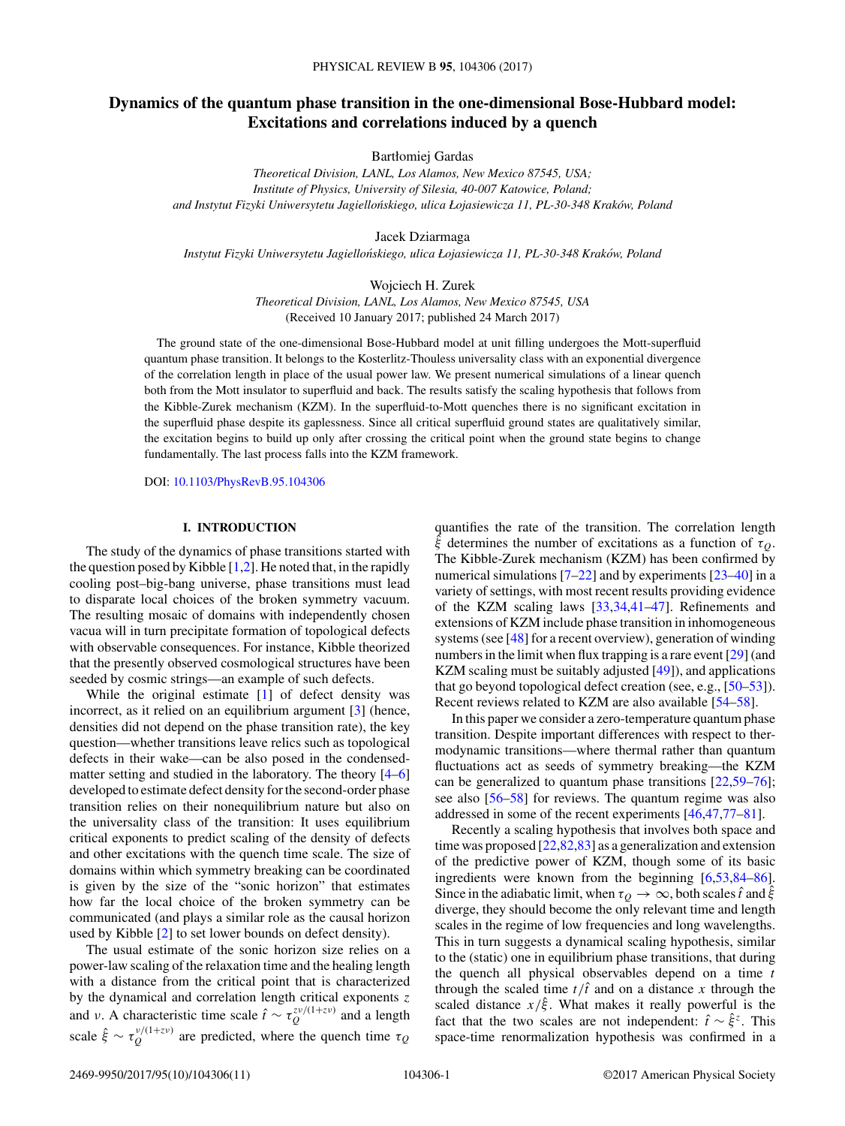# **Dynamics of the quantum phase transition in the one-dimensional Bose-Hubbard model: Excitations and correlations induced by a quench**

Bartłomiej Gardas

*Theoretical Division, LANL, Los Alamos, New Mexico 87545, USA; Institute of Physics, University of Silesia, 40-007 Katowice, Poland; and Instytut Fizyki Uniwersytetu Jagiellonskiego, ulica Łojasiewicza 11, PL-30-348 Krak ´ ow, Poland ´*

Jacek Dziarmaga

*Instytut Fizyki Uniwersytetu Jagiellonskiego, ulica Łojasiewicza 11, PL-30-348 Krak ´ ow, Poland ´*

Wojciech H. Zurek

*Theoretical Division, LANL, Los Alamos, New Mexico 87545, USA* (Received 10 January 2017; published 24 March 2017)

The ground state of the one-dimensional Bose-Hubbard model at unit filling undergoes the Mott-superfluid quantum phase transition. It belongs to the Kosterlitz-Thouless universality class with an exponential divergence of the correlation length in place of the usual power law. We present numerical simulations of a linear quench both from the Mott insulator to superfluid and back. The results satisfy the scaling hypothesis that follows from the Kibble-Zurek mechanism (KZM). In the superfluid-to-Mott quenches there is no significant excitation in the superfluid phase despite its gaplessness. Since all critical superfluid ground states are qualitatively similar, the excitation begins to build up only after crossing the critical point when the ground state begins to change fundamentally. The last process falls into the KZM framework.

DOI: [10.1103/PhysRevB.95.104306](https://doi.org/10.1103/PhysRevB.95.104306)

### **I. INTRODUCTION**

The study of the dynamics of phase transitions started with the question posed by Kibble  $[1,2]$ . He noted that, in the rapidly cooling post–big-bang universe, phase transitions must lead to disparate local choices of the broken symmetry vacuum. The resulting mosaic of domains with independently chosen vacua will in turn precipitate formation of topological defects with observable consequences. For instance, Kibble theorized that the presently observed cosmological structures have been seeded by cosmic strings—an example of such defects.

While the original estimate [\[1\]](#page-8-0) of defect density was incorrect, as it relied on an equilibrium argument [\[3\]](#page-8-0) (hence, densities did not depend on the phase transition rate), the key question—whether transitions leave relics such as topological defects in their wake—can be also posed in the condensedmatter setting and studied in the laboratory. The theory [\[4–6\]](#page-8-0) developed to estimate defect density for the second-order phase transition relies on their nonequilibrium nature but also on the universality class of the transition: It uses equilibrium critical exponents to predict scaling of the density of defects and other excitations with the quench time scale. The size of domains within which symmetry breaking can be coordinated is given by the size of the "sonic horizon" that estimates how far the local choice of the broken symmetry can be communicated (and plays a similar role as the causal horizon used by Kibble [\[2\]](#page-8-0) to set lower bounds on defect density).

The usual estimate of the sonic horizon size relies on a power-law scaling of the relaxation time and the healing length with a distance from the critical point that is characterized by the dynamical and correlation length critical exponents *z* and *ν*. A characteristic time scale  $\hat{t} \sim \tau_Q^{z\nu/(1+z\nu)}$  and a length scale  $\hat{\xi} \sim \tau_Q^{\nu/(1+z\nu)}$  are predicted, where the quench time  $\tau_Q$ 

quantifies the rate of the transition. The correlation length *ξ*ˆ determines the number of excitations as a function of *τQ*. The Kibble-Zurek mechanism (KZM) has been confirmed by numerical simulations [\[7](#page-8-0)[–22\]](#page-9-0) and by experiments [\[23–40\]](#page-9-0) in a variety of settings, with most recent results providing evidence of the KZM scaling laws [\[33,34,41–47\]](#page-9-0). Refinements and extensions of KZM include phase transition in inhomogeneous systems (see [\[48\]](#page-9-0) for a recent overview), generation of winding numbers in the limit when flux trapping is a rare event [\[29\]](#page-9-0) (and KZM scaling must be suitably adjusted [\[49\]](#page-9-0)), and applications that go beyond topological defect creation (see, e.g., [\[50–53\]](#page-9-0)). Recent reviews related to KZM are also available [\[54–58\]](#page-9-0).

In this paper we consider a zero-temperature quantum phase transition. Despite important differences with respect to thermodynamic transitions—where thermal rather than quantum fluctuations act as seeds of symmetry breaking—the KZM can be generalized to quantum phase transitions [\[22,59](#page-9-0)[–76\]](#page-10-0); see also [\[56–58\]](#page-9-0) for reviews. The quantum regime was also addressed in some of the recent experiments [\[46,47,](#page-9-0)[77–81\]](#page-10-0).

Recently a scaling hypothesis that involves both space and time was proposed [\[22,](#page-9-0)[82,83\]](#page-10-0) as a generalization and extension of the predictive power of KZM, though some of its basic ingredients were known from the beginning [\[6](#page-8-0)[,53](#page-9-0)[,84–86\]](#page-10-0). Since in the adiabatic limit, when  $\tau_Q \to \infty$ , both scales  $\hat{t}$  and  $\hat{\xi}$ diverge, they should become the only relevant time and length scales in the regime of low frequencies and long wavelengths. This in turn suggests a dynamical scaling hypothesis, similar to the (static) one in equilibrium phase transitions, that during the quench all physical observables depend on a time *t* through the scaled time  $t/\hat{t}$  and on a distance x through the scaled distance  $x/\hat{\xi}$ . What makes it really powerful is the fact that the two scales are not independent:  $\hat{t} \sim \hat{\xi}^z$ . This space-time renormalization hypothesis was confirmed in a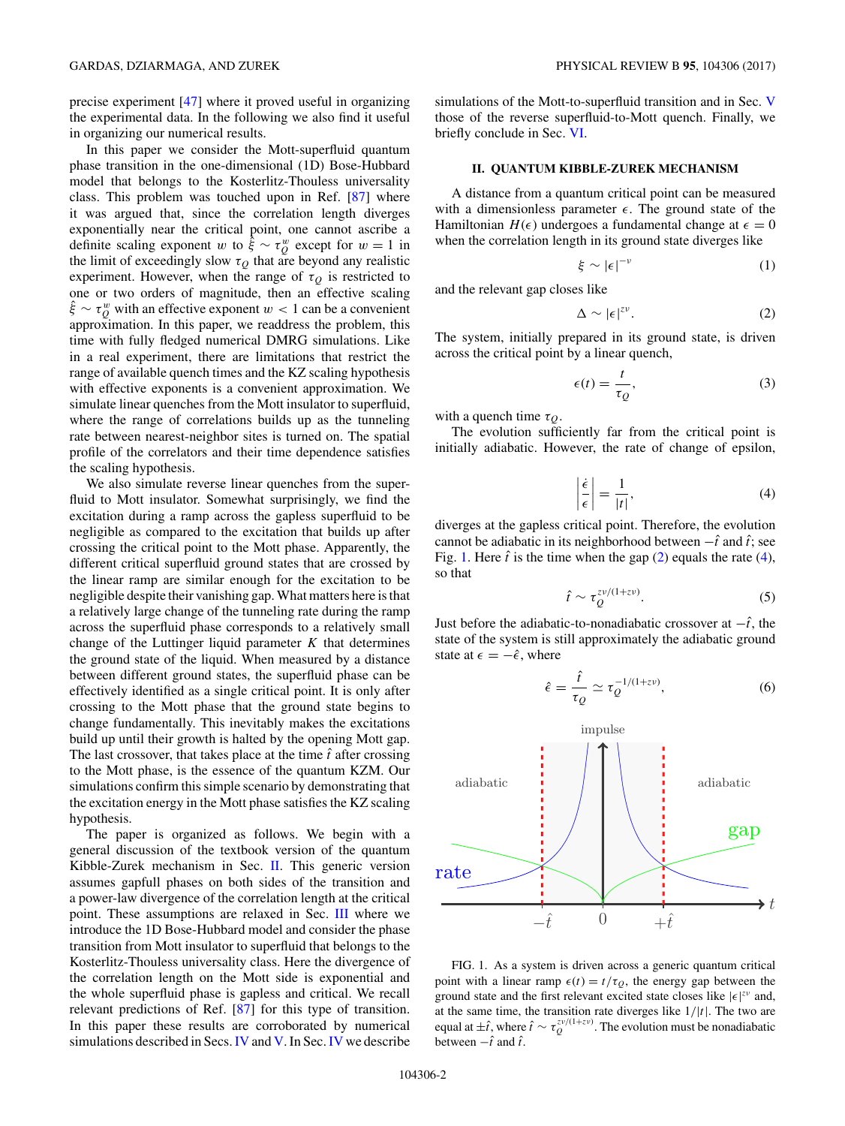<span id="page-1-0"></span>In this paper we consider the Mott-superfluid quantum phase transition in the one-dimensional (1D) Bose-Hubbard model that belongs to the Kosterlitz-Thouless universality class. This problem was touched upon in Ref. [\[87\]](#page-10-0) where it was argued that, since the correlation length diverges exponentially near the critical point, one cannot ascribe a definite scaling exponent *w* to  $\hat{\xi} \sim \tau_{Q}^{w}$  except for *w* = 1 in the limit of exceedingly slow  $\tau_Q$  that are beyond any realistic experiment. However, when the range of  $\tau_Q$  is restricted to one or two orders of magnitude, then an effective scaling  $\hat{\xi} \sim \tau_{Q}^{w}$  with an effective exponent  $w < 1$  can be a convenient approximation. In this paper, we readdress the problem, this time with fully fledged numerical DMRG simulations. Like in a real experiment, there are limitations that restrict the range of available quench times and the KZ scaling hypothesis with effective exponents is a convenient approximation. We simulate linear quenches from the Mott insulator to superfluid, where the range of correlations builds up as the tunneling rate between nearest-neighbor sites is turned on. The spatial profile of the correlators and their time dependence satisfies the scaling hypothesis.

We also simulate reverse linear quenches from the superfluid to Mott insulator. Somewhat surprisingly, we find the excitation during a ramp across the gapless superfluid to be negligible as compared to the excitation that builds up after crossing the critical point to the Mott phase. Apparently, the different critical superfluid ground states that are crossed by the linear ramp are similar enough for the excitation to be negligible despite their vanishing gap. What matters here is that a relatively large change of the tunneling rate during the ramp across the superfluid phase corresponds to a relatively small change of the Luttinger liquid parameter *K* that determines the ground state of the liquid. When measured by a distance between different ground states, the superfluid phase can be effectively identified as a single critical point. It is only after crossing to the Mott phase that the ground state begins to change fundamentally. This inevitably makes the excitations build up until their growth is halted by the opening Mott gap. The last crossover, that takes place at the time  $\hat{t}$  after crossing to the Mott phase, is the essence of the quantum KZM. Our simulations confirm this simple scenario by demonstrating that the excitation energy in the Mott phase satisfies the KZ scaling hypothesis.

The paper is organized as follows. We begin with a general discussion of the textbook version of the quantum Kibble-Zurek mechanism in Sec. II. This generic version assumes gapfull phases on both sides of the transition and a power-law divergence of the correlation length at the critical point. These assumptions are relaxed in Sec. [III](#page-2-0) where we introduce the 1D Bose-Hubbard model and consider the phase transition from Mott insulator to superfluid that belongs to the Kosterlitz-Thouless universality class. Here the divergence of the correlation length on the Mott side is exponential and the whole superfluid phase is gapless and critical. We recall relevant predictions of Ref. [\[87\]](#page-10-0) for this type of transition. In this paper these results are corroborated by numerical simulations described in Secs.[IV](#page-3-0) and [V.](#page-6-0) In Sec.[IV](#page-3-0) we describe simulations of the Mott-to-superfluid transition and in Sec. [V](#page-6-0) those of the reverse superfluid-to-Mott quench. Finally, we briefly conclude in Sec. [VI.](#page-8-0)

#### **II. QUANTUM KIBBLE-ZUREK MECHANISM**

A distance from a quantum critical point can be measured with a dimensionless parameter  $\epsilon$ . The ground state of the Hamiltonian  $H(\epsilon)$  undergoes a fundamental change at  $\epsilon = 0$ when the correlation length in its ground state diverges like

$$
\xi \sim |\epsilon|^{-\nu} \tag{1}
$$

and the relevant gap closes like

$$
\Delta \sim |\epsilon|^{z\nu}.\tag{2}
$$

The system, initially prepared in its ground state, is driven across the critical point by a linear quench,

$$
\epsilon(t) = \frac{t}{\tau_Q},\tag{3}
$$

with a quench time  $\tau_Q$ .

The evolution sufficiently far from the critical point is initially adiabatic. However, the rate of change of epsilon,

$$
\left|\frac{\dot{\epsilon}}{\epsilon}\right| = \frac{1}{|t|},\tag{4}
$$

diverges at the gapless critical point. Therefore, the evolution cannot be adiabatic in its neighborhood between  $-\hat{t}$  and  $\hat{t}$ ; see Fig. 1. Here  $\hat{t}$  is the time when the gap  $(2)$  equals the rate  $(4)$ , so that

$$
\hat{t} \sim \tau_Q^{z\nu/(1+z\nu)}.\tag{5}
$$

Just before the adiabatic-to-nonadiabatic crossover at  $-\hat{t}$ , the state of the system is still approximately the adiabatic ground state at  $\epsilon = -\hat{\epsilon}$ , where

$$
\hat{\epsilon} = \frac{\hat{t}}{\tau_Q} \simeq \tau_Q^{-1/(1+z\nu)},\tag{6}
$$



FIG. 1. As a system is driven across a generic quantum critical point with a linear ramp  $\epsilon(t) = t/\tau_Q$ , the energy gap between the ground state and the first relevant excited state closes like  $|\epsilon|^{zv}$  and, at the same time, the transition rate diverges like 1*/*|*t*|. The two are equal at  $\pm \hat{i}$ , where  $\hat{i} \sim \tau_Q^{zv/(1+zv)}$ . The evolution must be nonadiabatic between  $-\hat{t}$  and  $\hat{t}$ .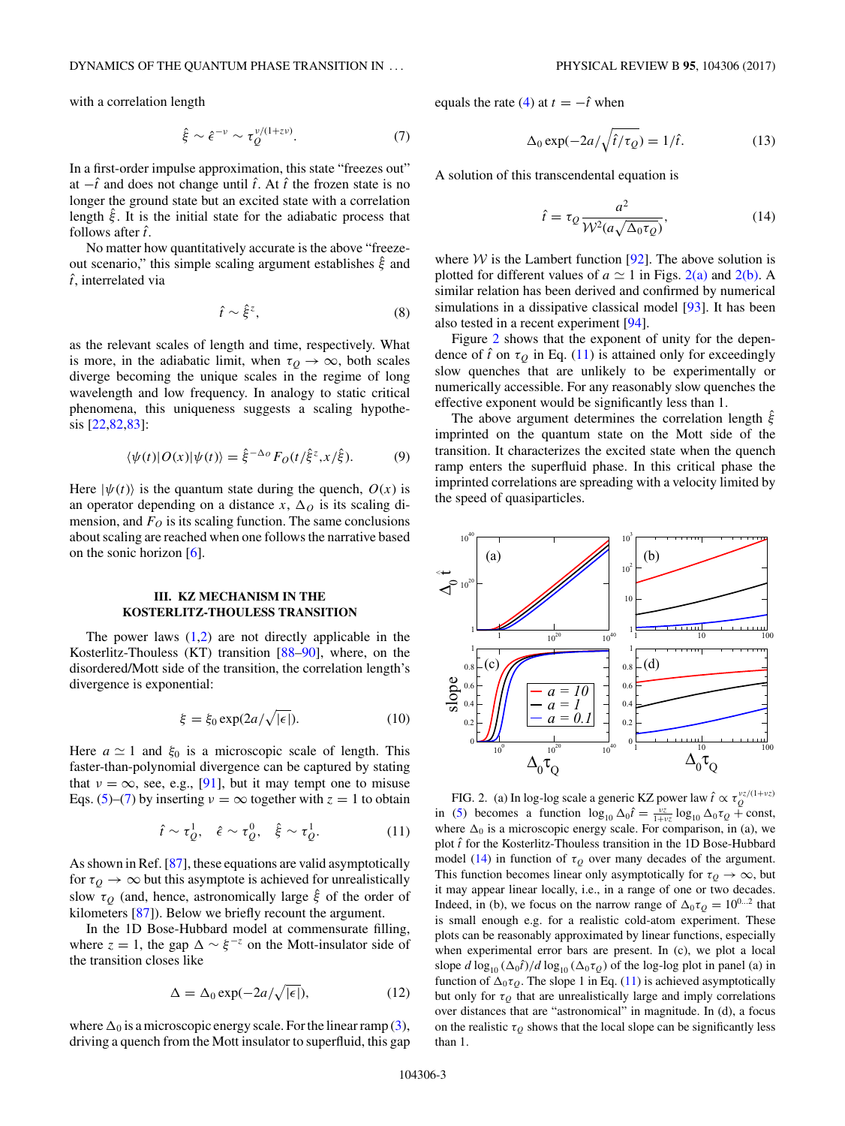<span id="page-2-0"></span>with a correlation length

$$
\hat{\xi} \sim \hat{\epsilon}^{-\nu} \sim \tau_Q^{\nu/(1+z\nu)}.\tag{7}
$$

In a first-order impulse approximation, this state "freezes out" at  $−\hat{t}$  and does not change until  $\hat{t}$ . At  $\hat{t}$  the frozen state is no longer the ground state but an excited state with a correlation length *ξ*ˆ. It is the initial state for the adiabatic process that follows after *t* ˆ.

No matter how quantitatively accurate is the above "freezeout scenario," this simple scaling argument establishes *ξ*ˆ and *t* ˆ, interrelated via

$$
\hat{t} \sim \hat{\xi}^z,\tag{8}
$$

as the relevant scales of length and time, respectively. What is more, in the adiabatic limit, when  $\tau<sub>O</sub> \to \infty$ , both scales diverge becoming the unique scales in the regime of long wavelength and low frequency. In analogy to static critical phenomena, this uniqueness suggests a scaling hypothesis [\[22](#page-9-0)[,82,83\]](#page-10-0):

$$
\langle \psi(t) | O(x) | \psi(t) \rangle = \hat{\xi}^{-\Delta_O} F_O(t/\hat{\xi}^z, x/\hat{\xi}). \tag{9}
$$

Here  $|\psi(t)\rangle$  is the quantum state during the quench,  $O(x)$  is an operator depending on a distance  $x$ ,  $\Delta$ <sup>0</sup> is its scaling dimension, and  $F<sub>O</sub>$  is its scaling function. The same conclusions about scaling are reached when one follows the narrative based on the sonic horizon [\[6\]](#page-8-0).

# **III. KZ MECHANISM IN THE KOSTERLITZ-THOULESS TRANSITION**

The power laws  $(1,2)$  are not directly applicable in the Kosterlitz-Thouless (KT) transition [\[88–90\]](#page-10-0), where, on the disordered/Mott side of the transition, the correlation length's divergence is exponential:

$$
\xi = \xi_0 \exp(2a/\sqrt{|\epsilon|}).\tag{10}
$$

Here  $a \simeq 1$  and  $\xi_0$  is a microscopic scale of length. This faster-than-polynomial divergence can be captured by stating that  $\nu = \infty$ , see, e.g., [\[91\]](#page-10-0), but it may tempt one to misuse Eqs. [\(5\)](#page-1-0)–(7) by inserting  $\nu = \infty$  together with  $z = 1$  to obtain

$$
\hat{t} \sim \tau_Q^1, \quad \hat{\epsilon} \sim \tau_Q^0, \quad \hat{\xi} \sim \tau_Q^1. \tag{11}
$$

As shown in Ref. [\[87\]](#page-10-0), these equations are valid asymptotically for  $\tau_Q \to \infty$  but this asymptote is achieved for unrealistically slow  $\tau_Q$  (and, hence, astronomically large  $\hat{\xi}$  of the order of kilometers [\[87\]](#page-10-0)). Below we briefly recount the argument.

In the 1D Bose-Hubbard model at commensurate filling, where  $z = 1$ , the gap  $\Delta \sim \xi^{-z}$  on the Mott-insulator side of the transition closes like

$$
\Delta = \Delta_0 \exp(-2a/\sqrt{|\epsilon|}),\tag{12}
$$

where  $\Delta_0$  is a microscopic energy scale. For the linear ramp [\(3\)](#page-1-0), driving a quench from the Mott insulator to superfluid, this gap equals the rate [\(4\)](#page-1-0) at  $t = -\hat{t}$  when

$$
\Delta_0 \exp(-2a/\sqrt{\hat{t}/\tau_Q}) = 1/\hat{t}.\tag{13}
$$

A solution of this transcendental equation is

$$
\hat{t} = \tau_Q \frac{a^2}{\mathcal{W}^2 (a \sqrt{\Delta_0 \tau_Q})},\tag{14}
$$

where  $W$  is the Lambert function [\[92\]](#page-10-0). The above solution is plotted for different values of  $a \simeq 1$  in Figs. 2(a) and 2(b). A similar relation has been derived and confirmed by numerical simulations in a dissipative classical model [\[93\]](#page-10-0). It has been also tested in a recent experiment [\[94\]](#page-10-0).

Figure 2 shows that the exponent of unity for the dependence of  $\hat{t}$  on  $\tau_Q$  in Eq. (11) is attained only for exceedingly slow quenches that are unlikely to be experimentally or numerically accessible. For any reasonably slow quenches the effective exponent would be significantly less than 1.

The above argument determines the correlation length *ξ*ˆ imprinted on the quantum state on the Mott side of the transition. It characterizes the excited state when the quench ramp enters the superfluid phase. In this critical phase the imprinted correlations are spreading with a velocity limited by the speed of quasiparticles.



FIG. 2. (a) In log-log scale a generic KZ power law  $\hat{t} \propto \tau_Q^{\nu z/(1+\nu z)}$ in [\(5\)](#page-1-0) becomes a function  $\log_{10} \Delta_0 \hat{t} = \frac{v_z}{1+v_z} \log_{10} \Delta_0 \tau_Q + \text{const},$ where  $\Delta_0$  is a microscopic energy scale. For comparison, in (a), we plot *t* ˆ for the Kosterlitz-Thouless transition in the 1D Bose-Hubbard model (14) in function of  $\tau$ <sup>0</sup> over many decades of the argument. This function becomes linear only asymptotically for  $\tau<sub>O</sub> \to \infty$ , but it may appear linear locally, i.e., in a range of one or two decades. Indeed, in (b), we focus on the narrow range of  $\Delta_0 \tau_Q = 10^{0...2}$  that is small enough e.g. for a realistic cold-atom experiment. These plots can be reasonably approximated by linear functions, especially when experimental error bars are present. In (c), we plot a local slope  $d \log_{10} (\Delta_0 \hat{t})/d \log_{10} (\Delta_0 \tau_Q)$  of the log-log plot in panel (a) in function of  $\Delta_0 \tau_Q$ . The slope 1 in Eq. (11) is achieved asymptotically but only for  $\tau_Q$  that are unrealistically large and imply correlations over distances that are "astronomical" in magnitude. In (d), a focus on the realistic  $\tau<sub>O</sub>$  shows that the local slope can be significantly less than 1.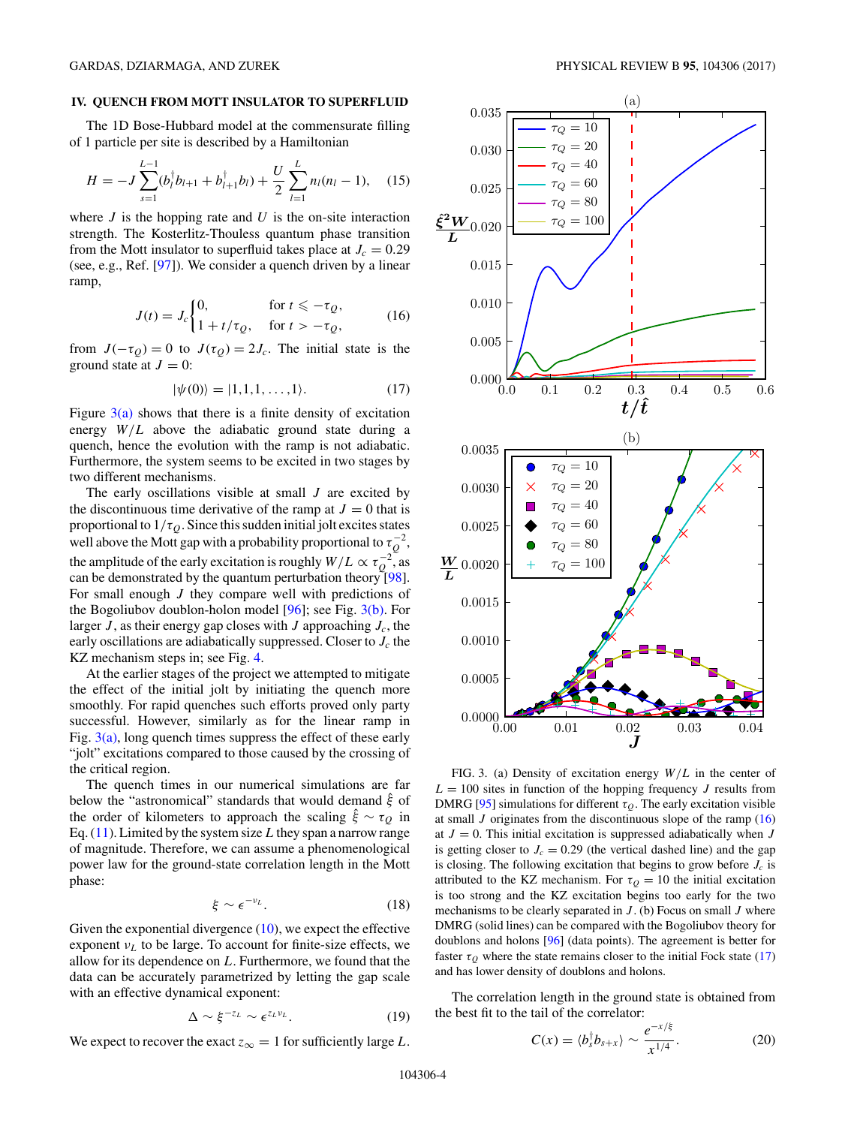### <span id="page-3-0"></span>**IV. QUENCH FROM MOTT INSULATOR TO SUPERFLUID**

The 1D Bose-Hubbard model at the commensurate filling of 1 particle per site is described by a Hamiltonian

$$
H = -J \sum_{s=1}^{L-1} (b_l^{\dagger} b_{l+1} + b_{l+1}^{\dagger} b_l) + \frac{U}{2} \sum_{l=1}^{L} n_l (n_l - 1), \quad (15)
$$

where  $J$  is the hopping rate and  $U$  is the on-site interaction strength. The Kosterlitz-Thouless quantum phase transition from the Mott insulator to superfluid takes place at  $J_c = 0.29$ (see, e.g., Ref. [\[97\]](#page-10-0)). We consider a quench driven by a linear ramp,

$$
J(t) = J_c \begin{cases} 0, & \text{for } t \le -\tau_Q, \\ 1 + t/\tau_Q, & \text{for } t > -\tau_Q, \end{cases} \tag{16}
$$

from  $J(-\tau_Q) = 0$  to  $J(\tau_Q) = 2J_c$ . The initial state is the ground state at  $J = 0$ :

$$
|\psi(0)\rangle = |1,1,1,\ldots,1\rangle. \tag{17}
$$

Figure  $3(a)$  shows that there is a finite density of excitation energy  $W/L$  above the adiabatic ground state during a quench, hence the evolution with the ramp is not adiabatic. Furthermore, the system seems to be excited in two stages by two different mechanisms.

The early oscillations visible at small *J* are excited by the discontinuous time derivative of the ramp at  $J = 0$  that is proportional to  $1/\tau_Q$ . Since this sudden initial jolt excites states well above the Mott gap with a probability proportional to  $\tau_Q^{-2}$ , the amplitude of the early excitation is roughly  $W/L \propto \tau_Q^{-2}$ , as can be demonstrated by the quantum perturbation theory [\[98\]](#page-10-0). For small enough *J* they compare well with predictions of the Bogoliubov doublon-holon model  $[96]$ ; see Fig.  $3(b)$ . For larger  $J$ , as their energy gap closes with  $J$  approaching  $J_c$ , the early oscillations are adiabatically suppressed. Closer to  $J_c$  the KZ mechanism steps in; see Fig. [4.](#page-4-0)

At the earlier stages of the project we attempted to mitigate the effect of the initial jolt by initiating the quench more smoothly. For rapid quenches such efforts proved only party successful. However, similarly as for the linear ramp in Fig.  $3(a)$ , long quench times suppress the effect of these early "jolt" excitations compared to those caused by the crossing of the critical region.

The quench times in our numerical simulations are far below the "astronomical" standards that would demand *ξ*ˆ of the order of kilometers to approach the scaling  $\hat{\xi} \sim \tau_Q$  in Eq. [\(11\)](#page-2-0). Limited by the system size*L*they span a narrow range of magnitude. Therefore, we can assume a phenomenological power law for the ground-state correlation length in the Mott phase:

$$
\xi \sim \epsilon^{-\nu_L}.\tag{18}
$$

Given the exponential divergence  $(10)$ , we expect the effective exponent  $v<sub>L</sub>$  to be large. To account for finite-size effects, we allow for its dependence on *L*. Furthermore, we found that the data can be accurately parametrized by letting the gap scale with an effective dynamical exponent:

$$
\Delta \sim \xi^{-z_L} \sim \epsilon^{z_L \nu_L}.
$$
 (19)

We expect to recover the exact  $z_{\infty} = 1$  for sufficiently large *L*.



FIG. 3. (a) Density of excitation energy *W/L* in the center of  $L = 100$  sites in function of the hopping frequency *J* results from DMRG [\[95\]](#page-10-0) simulations for different  $\tau_Q$ . The early excitation visible at small  $J$  originates from the discontinuous slope of the ramp  $(16)$ at  $J = 0$ . This initial excitation is suppressed adiabatically when  $J$ is getting closer to  $J_c = 0.29$  (the vertical dashed line) and the gap is closing. The following excitation that begins to grow before  $J_c$  is attributed to the KZ mechanism. For  $\tau_Q = 10$  the initial excitation is too strong and the KZ excitation begins too early for the two mechanisms to be clearly separated in *J* . (b) Focus on small *J* where DMRG (solid lines) can be compared with the Bogoliubov theory for doublons and holons [\[96\]](#page-10-0) (data points). The agreement is better for faster  $\tau_Q$  where the state remains closer to the initial Fock state (17) and has lower density of doublons and holons.

The correlation length in the ground state is obtained from the best fit to the tail of the correlator:

$$
C(x) = \langle b_s^{\dagger} b_{s+x} \rangle \sim \frac{e^{-x/\xi}}{x^{1/4}}.
$$
 (20)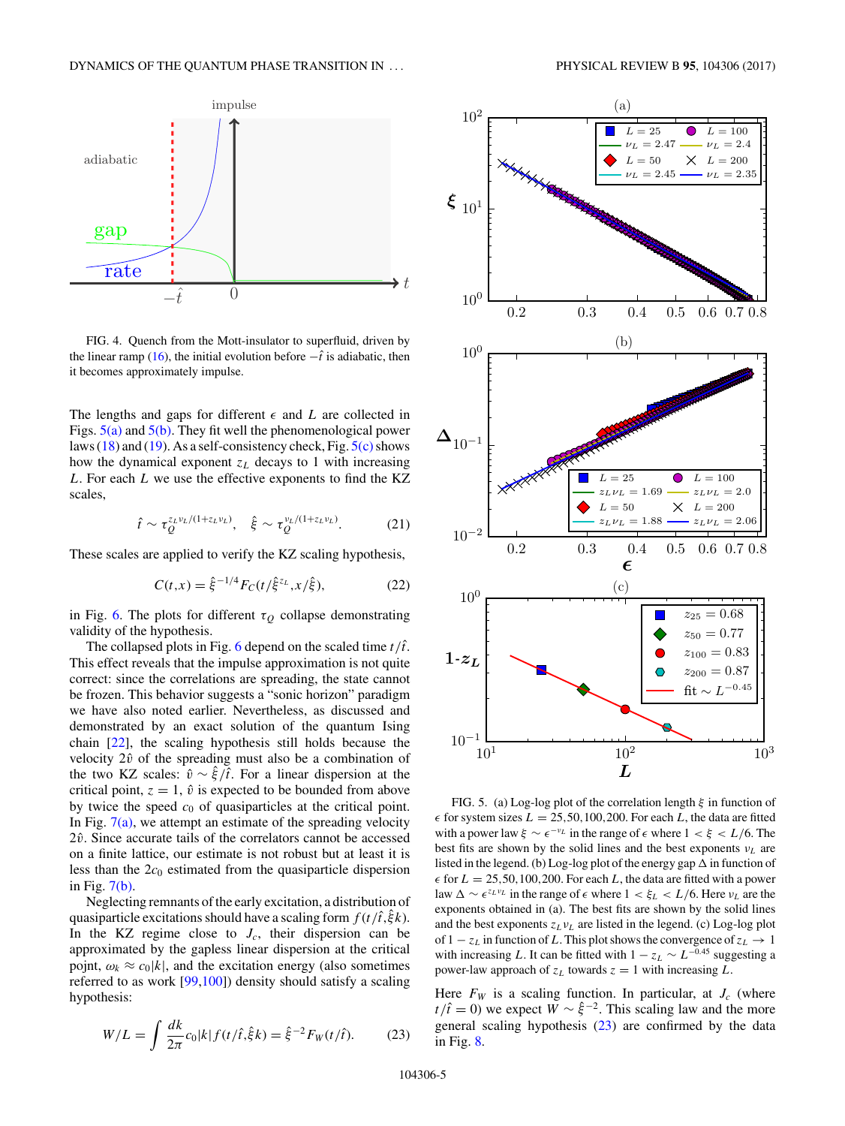<span id="page-4-0"></span>

FIG. 4. Quench from the Mott-insulator to superfluid, driven by the linear ramp [\(16\)](#page-3-0), the initial evolution before  $-\hat{t}$  is adiabatic, then it becomes approximately impulse.

The lengths and gaps for different  $\epsilon$  and *L* are collected in Figs.  $5(a)$  and  $5(b)$ . They fit well the phenomenological power laws [\(18\)](#page-3-0) and [\(19\)](#page-3-0). As a self-consistency check, Fig.  $5(c)$  shows how the dynamical exponent  $z_L$  decays to 1 with increasing *L*. For each *L* we use the effective exponents to find the KZ scales,

$$
\hat{t} \sim \tau_Q^{z_L \nu_L/(1+z_L \nu_L)}, \quad \hat{\xi} \sim \tau_Q^{\nu_L/(1+z_L \nu_L)}.
$$
 (21)

These scales are applied to verify the KZ scaling hypothesis,

$$
C(t,x) = \hat{\xi}^{-1/4} F_C(t/\hat{\xi}^{z_L}, x/\hat{\xi}),
$$
 (22)

in Fig. [6.](#page-5-0) The plots for different  $\tau<sub>O</sub>$  collapse demonstrating validity of the hypothesis.

The collapsed plots in Fig. [6](#page-5-0) depend on the scaled time  $t/\hat{t}$ . This effect reveals that the impulse approximation is not quite correct: since the correlations are spreading, the state cannot be frozen. This behavior suggests a "sonic horizon" paradigm we have also noted earlier. Nevertheless, as discussed and demonstrated by an exact solution of the quantum Ising chain [\[22\]](#page-9-0), the scaling hypothesis still holds because the velocity  $2\hat{v}$  of the spreading must also be a combination of the two KZ scales:  $\hat{v} \sim \hat{\xi}/\hat{t}$ . For a linear dispersion at the critical point,  $z = 1$ ,  $\hat{v}$  is expected to be bounded from above by twice the speed  $c_0$  of quasiparticles at the critical point. In Fig.  $7(a)$ , we attempt an estimate of the spreading velocity 2 $\hat{v}$ . Since accurate tails of the correlators cannot be accessed on a finite lattice, our estimate is not robust but at least it is less than the  $2c_0$  estimated from the quasiparticle dispersion in Fig.  $7(b)$ .

Neglecting remnants of the early excitation, a distribution of quasiparticle excitations should have a scaling form  $f(t/\hat{t},\xi k)$ . In the KZ regime close to  $J_c$ , their dispersion can be approximated by the gapless linear dispersion at the critical pojnt,  $\omega_k \approx c_0 |k|$ , and the excitation energy (also sometimes referred to as work [\[99,100\]](#page-10-0)) density should satisfy a scaling hypothesis:

$$
W/L = \int \frac{dk}{2\pi} c_0 |k| f(t/\hat{t}, \hat{\xi} k) = \hat{\xi}^{-2} F_W(t/\hat{t}).
$$
 (23)



FIG. 5. (a) Log-log plot of the correlation length *ξ* in function of  $\epsilon$  for system sizes  $L = 25,50,100,200$ . For each *L*, the data are fitted with a power law  $\xi \sim \epsilon^{-\nu_L}$  in the range of  $\epsilon$  where  $1 < \xi < L/6$ . The best fits are shown by the solid lines and the best exponents  $v_L$  are listed in the legend. (b) Log-log plot of the energy gap  $\Delta$  in function of  $\epsilon$  for  $L = 25,50,100,200$ . For each *L*, the data are fitted with a power law  $\Delta \sim \epsilon^{z_L v_L}$  in the range of  $\epsilon$  where  $1 < \xi_L < L/6$ . Here  $v_L$  are the exponents obtained in (a). The best fits are shown by the solid lines and the best exponents  $z_L v_L$  are listed in the legend. (c) Log-log plot of 1  $-z_L$  in function of *L*. This plot shows the convergence of  $z_L \rightarrow 1$ with increasing *L*. It can be fitted with  $1 - z_L \sim L^{-0.45}$  suggesting a power-law approach of  $z_L$  towards  $z = 1$  with increasing  $L$ .

Here  $F_W$  is a scaling function. In particular, at  $J_c$  (where *t*/ $\hat{t} = 0$ ) we expect  $\hat{W} \sim \hat{\xi}^{-2}$ . This scaling law and the more general scaling hypothesis  $(23)$  are confirmed by the data in Fig. [8.](#page-6-0)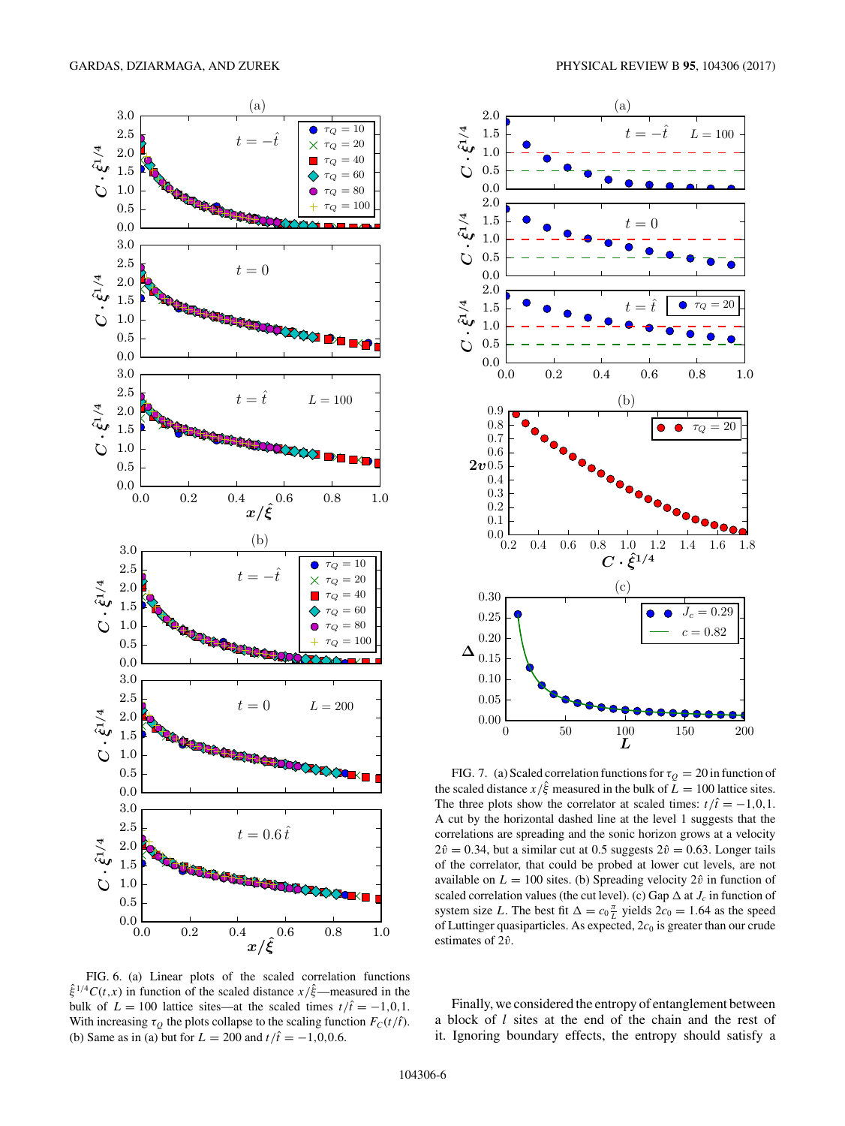<span id="page-5-0"></span>

FIG. 6. (a) Linear plots of the scaled correlation functions *ξ*ˆ <sup>1</sup>*/*<sup>4</sup>*C*(*t,x*) in function of the scaled distance *x/ξ*ˆ—measured in the bulk of  $L = 100$  lattice sites—at the scaled times  $t/\hat{t} = -1, 0, 1$ . With increasing  $\tau_Q$  the plots collapse to the scaling function  $F_C(t/\hat{t})$ . (b) Same as in (a) but for  $L = 200$  and  $t/\hat{t} = -1,0,0.6$ .



FIG. 7. (a) Scaled correlation functions for  $\tau_Q = 20$  in function of the scaled distance  $x/\hat{\xi}$  measured in the bulk of  $L = 100$  lattice sites. The three plots show the correlator at scaled times:  $t/\hat{t} = -1, 0, 1$ . A cut by the horizontal dashed line at the level 1 suggests that the correlations are spreading and the sonic horizon grows at a velocity  $2\hat{v} = 0.34$ , but a similar cut at 0.5 suggests  $2\hat{v} = 0.63$ . Longer tails of the correlator, that could be probed at lower cut levels, are not available on  $L = 100$  sites. (b) Spreading velocity  $2\hat{v}$  in function of scaled correlation values (the cut level). (c) Gap  $\Delta$  at  $J_c$  in function of system size *L*. The best fit  $\Delta = c_0 \frac{\pi}{L}$  yields  $2c_0 = 1.64$  as the speed of Luttinger quasiparticles. As expected, 2*c*<sup>0</sup> is greater than our crude estimates of 2 $\hat{v}$ .

Finally, we considered the entropy of entanglement between a block of *l* sites at the end of the chain and the rest of it. Ignoring boundary effects, the entropy should satisfy a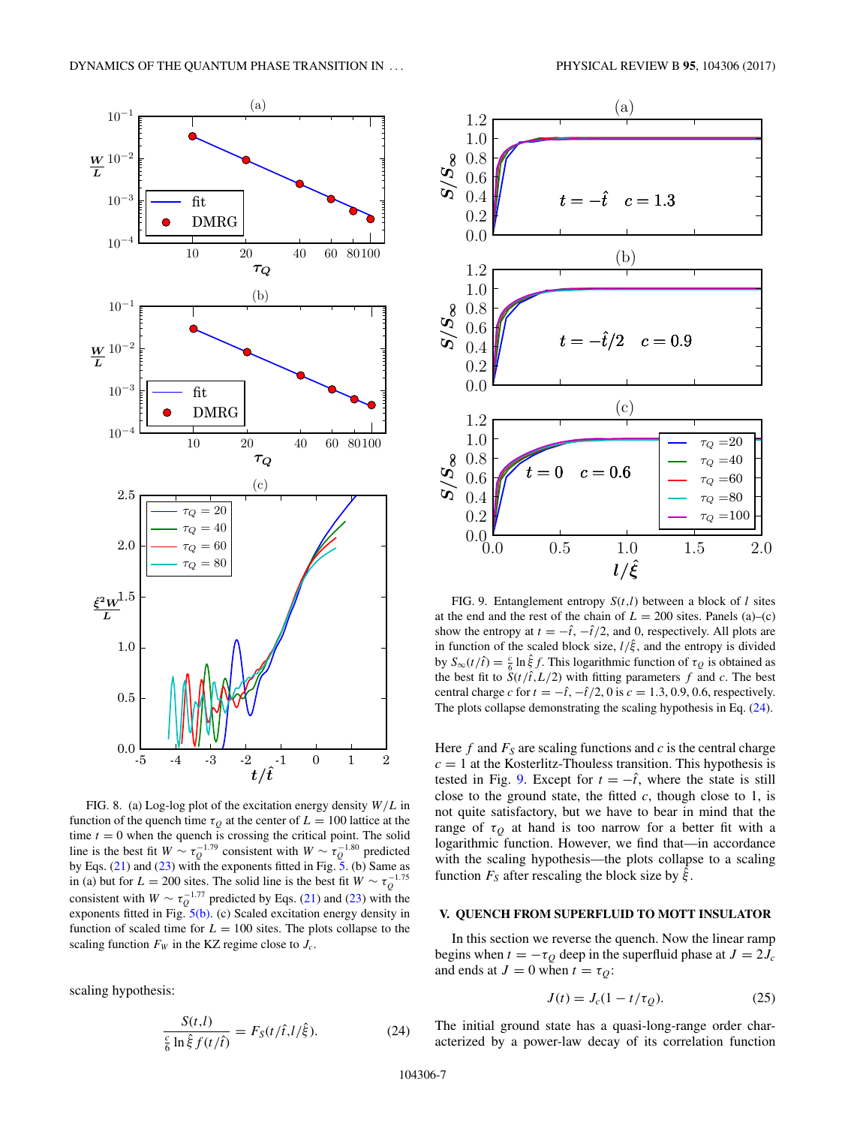<span id="page-6-0"></span>

FIG. 8. (a) Log-log plot of the excitation energy density *W/L* in function of the quench time  $\tau<sub>O</sub>$  at the center of  $L = 100$  lattice at the time  $t = 0$  when the quench is crossing the critical point. The solid line is the best fit  $W \sim \tau_Q^{-1.79}$  consistent with  $W \sim \tau_Q^{-1.80}$  predicted by Eqs. [\(21\)](#page-4-0) and [\(23\)](#page-4-0) with the exponents fitted in Fig.  $5$ . (b) Same as in (a) but for  $L = 200$  sites. The solid line is the best fit  $W \sim \tau_Q^{-1.75}$ consistent with  $W \sim \tau_Q^{-1.77}$  predicted by Eqs. [\(21\)](#page-4-0) and [\(23\)](#page-4-0) with the exponents fitted in Fig.  $5(b)$ . (c) Scaled excitation energy density in function of scaled time for  $L = 100$  sites. The plots collapse to the scaling function  $F_W$  in the KZ regime close to  $J_c$ .

scaling hypothesis:

$$
\frac{S(t,l)}{\frac{c}{6}\ln\hat{\xi}f(t/\hat{t})} = F_S(t/\hat{t}, l/\hat{\xi}).
$$
\n(24)



FIG. 9. Entanglement entropy *S*(*t,l*) between a block of *l* sites at the end and the rest of the chain of  $L = 200$  sites. Panels (a)–(c) show the entropy at  $t = -\hat{t}$ ,  $-\hat{t}/2$ , and 0, respectively. All plots are in function of the scaled block size,  $l/\hat{\xi}$ , and the entropy is divided by *S*<sub>∞</sub>(*t*/*t*̂) =  $\frac{c}{6}$  ln  $\frac{2}{5}$ *f*. This logarithmic function of  $τ_Q$  is obtained as the best fit to  $S(t/\hat{t}, L/2)$  with fitting parameters  $f$  and  $c$ . The best central charge *c* for  $t = -\hat{t}$ ,  $-\hat{t}/2$ , 0 is  $c = 1.3, 0.9, 0.6$ , respectively. The plots collapse demonstrating the scaling hypothesis in Eq. (24).

Here  $f$  and  $F<sub>S</sub>$  are scaling functions and  $c$  is the central charge  $c = 1$  at the Kosterlitz-Thouless transition. This hypothesis is tested in Fig. 9. Except for  $t = -\hat{t}$ , where the state is still close to the ground state, the fitted  $c$ , though close to 1, is not quite satisfactory, but we have to bear in mind that the range of  $\tau_Q$  at hand is too narrow for a better fit with a logarithmic function. However, we find that—in accordance with the scaling hypothesis—the plots collapse to a scaling function  $F_S$  after rescaling the block size by  $\hat{\xi}$ .

#### **V. QUENCH FROM SUPERFLUID TO MOTT INSULATOR**

In this section we reverse the quench. Now the linear ramp begins when  $t = -\tau_Q$  deep in the superfluid phase at  $J = 2J_c$ and ends at  $J = 0$  when  $t = \tau_O$ :

$$
J(t) = J_c(1 - t/\tau_Q). \tag{25}
$$

The initial ground state has a quasi-long-range order characterized by a power-law decay of its correlation function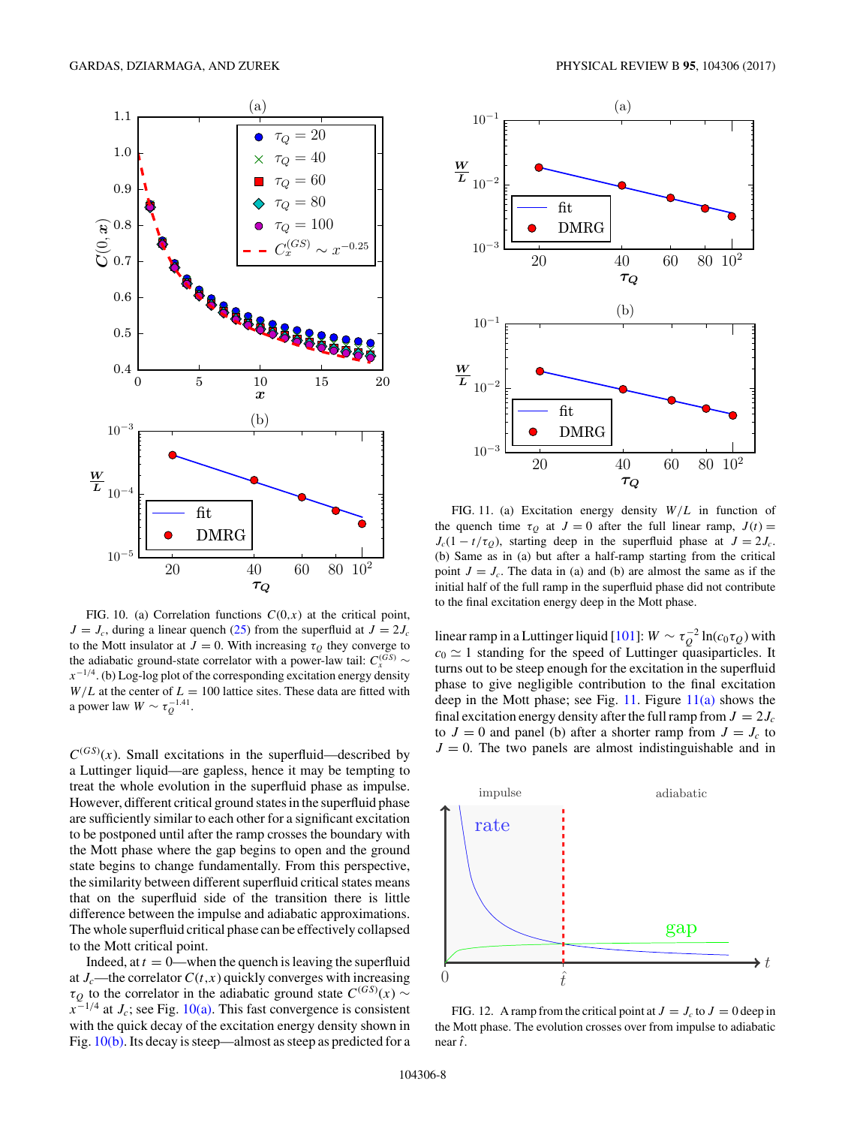<span id="page-7-0"></span>

FIG. 10. (a) Correlation functions  $C(0, x)$  at the critical point,  $J = J_c$ , during a linear quench [\(25\)](#page-6-0) from the superfluid at  $J = 2J_c$ to the Mott insulator at  $J = 0$ . With increasing  $\tau<sub>O</sub>$  they converge to the adiabatic ground-state correlator with a power-law tail:  $C_r^{(GS)}$  ~ *x*<sup>−1/4</sup>. (b) Log-log plot of the corresponding excitation energy density  $W/L$  at the center of  $L = 100$  lattice sites. These data are fitted with a power law  $W \sim \tau_Q^{-1.41}$ .

 $C^{(GS)}(x)$ . Small excitations in the superfluid—described by a Luttinger liquid—are gapless, hence it may be tempting to treat the whole evolution in the superfluid phase as impulse. However, different critical ground states in the superfluid phase are sufficiently similar to each other for a significant excitation to be postponed until after the ramp crosses the boundary with the Mott phase where the gap begins to open and the ground state begins to change fundamentally. From this perspective, the similarity between different superfluid critical states means that on the superfluid side of the transition there is little difference between the impulse and adiabatic approximations. The whole superfluid critical phase can be effectively collapsed to the Mott critical point.

Indeed, at  $t = 0$ —when the quench is leaving the superfluid at  $J_c$ —the correlator  $C(t, x)$  quickly converges with increasing  $\tau_Q$  to the correlator in the adiabatic ground state  $C^{(GS)}(x) \sim$  $x^{-1/4}$  at *J<sub>c</sub>*; see Fig. 10(a). This fast convergence is consistent with the quick decay of the excitation energy density shown in Fig. 10(b). Its decay is steep—almost as steep as predicted for a



FIG. 11. (a) Excitation energy density *W/L* in function of the quench time  $\tau_Q$  at  $J = 0$  after the full linear ramp,  $J(t) =$  $J_c(1 - t/\tau_Q)$ , starting deep in the superfluid phase at  $J = 2J_c$ . (b) Same as in (a) but after a half-ramp starting from the critical point  $J = J_c$ . The data in (a) and (b) are almost the same as if the initial half of the full ramp in the superfluid phase did not contribute to the final excitation energy deep in the Mott phase.

linear ramp in a Luttinger liquid [\[101\]](#page-10-0):  $W \sim \tau_Q^{-2} \ln(c_0 \tau_Q)$  with  $c_0 \simeq 1$  standing for the speed of Luttinger quasiparticles. It turns out to be steep enough for the excitation in the superfluid phase to give negligible contribution to the final excitation deep in the Mott phase; see Fig. 11. Figure  $11(a)$  shows the final excitation energy density after the full ramp from  $J = 2J_c$ to  $J = 0$  and panel (b) after a shorter ramp from  $J = J_c$  to  $J = 0$ . The two panels are almost indistinguishable and in



FIG. 12. A ramp from the critical point at  $J = J_c$  to  $J = 0$  deep in the Mott phase. The evolution crosses over from impulse to adiabatic near *t* ˆ.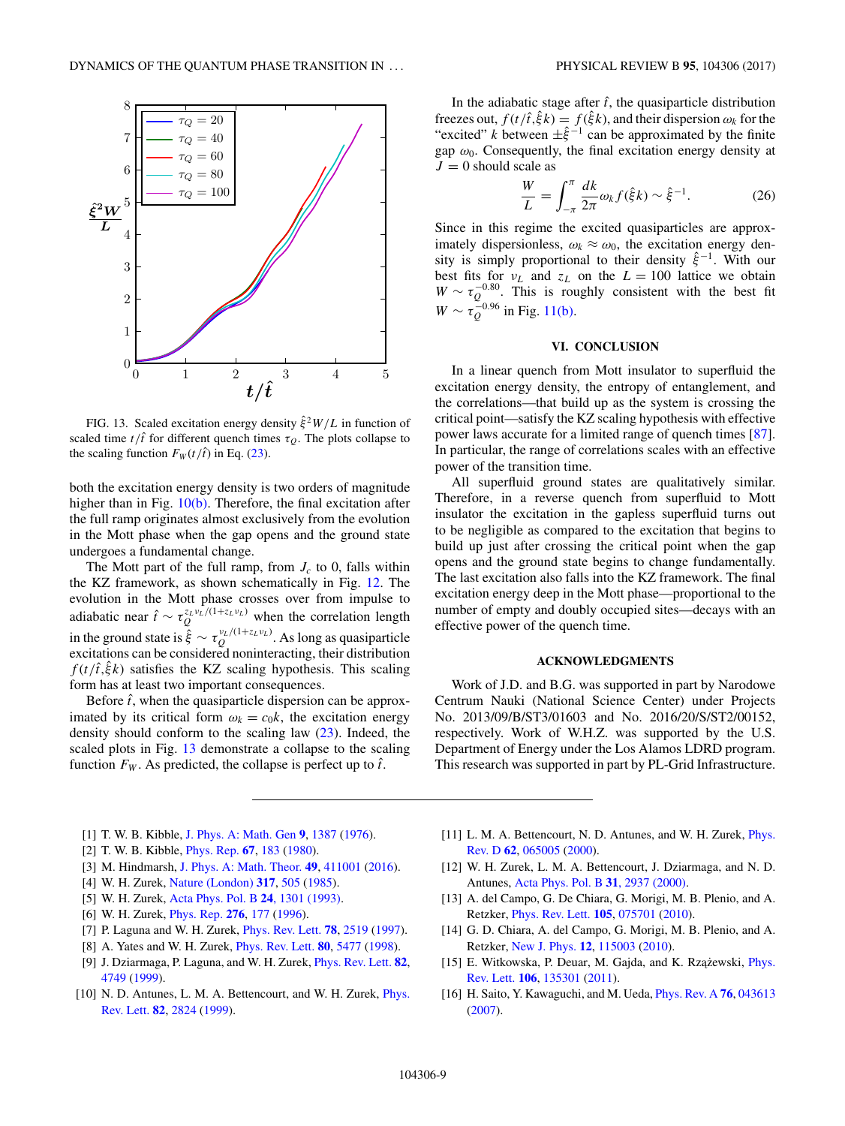<span id="page-8-0"></span>

FIG. 13. Scaled excitation energy density  $\hat{\xi}^2 W/L$  in function of scaled time  $t/\hat{t}$  for different quench times  $\tau_Q$ . The plots collapse to the scaling function  $F_W(t/\hat{t})$  in Eq. [\(23\)](#page-4-0).

both the excitation energy density is two orders of magnitude higher than in Fig.  $10(b)$ . Therefore, the final excitation after the full ramp originates almost exclusively from the evolution in the Mott phase when the gap opens and the ground state undergoes a fundamental change.

The Mott part of the full ramp, from  $J_c$  to 0, falls within the KZ framework, as shown schematically in Fig. [12.](#page-7-0) The evolution in the Mott phase crosses over from impulse to adiabatic near  $\hat{t} \sim \tau_Q^{z_L v_L/(1+z_L v_L)}$  when the correlation length in the ground state is  $\hat{\xi} \sim \tau_Q^{v_L/(1+z_L v_L)}$ . As long as quasiparticle excitations can be considered noninteracting, their distribution  $f(t/\hat{t},\hat{\xi}k)$  satisfies the KZ scaling hypothesis. This scaling form has at least two important consequences.

Before  $\hat{t}$ , when the quasiparticle dispersion can be approximated by its critical form  $\omega_k = c_0 k$ , the excitation energy density should conform to the scaling law [\(23\)](#page-4-0). Indeed, the scaled plots in Fig. 13 demonstrate a collapse to the scaling function  $F_W$ . As predicted, the collapse is perfect up to  $\hat{t}$ .

In the adiabatic stage after  $\hat{t}$ , the quasiparticle distribution freezes out,  $f(t/\hat{t}, \hat{\xi}k) = f(\hat{\xi}k)$ , and their dispersion  $\omega_k$  for the "excited" *k* between  $\pm \hat{\xi}^{-1}$  can be approximated by the finite gap  $\omega_0$ . Consequently, the final excitation energy density at  $J = 0$  should scale as

$$
\frac{W}{L} = \int_{-\pi}^{\pi} \frac{dk}{2\pi} \omega_k f(\hat{\xi}k) \sim \hat{\xi}^{-1}.
$$
 (26)

Since in this regime the excited quasiparticles are approximately dispersionless,  $\omega_k \approx \omega_0$ , the excitation energy density is simply proportional to their density *ξ*ˆ−1. With our best fits for  $v_L$  and  $z_L$  on the  $L = 100$  lattice we obtain  $W \sim \tau_Q^{-0.80}$ . This is roughly consistent with the best fit  $W \sim \tau_Q^{-0.96}$  in Fig. [11\(b\).](#page-7-0)

# **VI. CONCLUSION**

In a linear quench from Mott insulator to superfluid the excitation energy density, the entropy of entanglement, and the correlations—that build up as the system is crossing the critical point—satisfy the KZ scaling hypothesis with effective power laws accurate for a limited range of quench times [\[87\]](#page-10-0). In particular, the range of correlations scales with an effective power of the transition time.

All superfluid ground states are qualitatively similar. Therefore, in a reverse quench from superfluid to Mott insulator the excitation in the gapless superfluid turns out to be negligible as compared to the excitation that begins to build up just after crossing the critical point when the gap opens and the ground state begins to change fundamentally. The last excitation also falls into the KZ framework. The final excitation energy deep in the Mott phase—proportional to the number of empty and doubly occupied sites—decays with an effective power of the quench time.

## **ACKNOWLEDGMENTS**

Work of J.D. and B.G. was supported in part by Narodowe Centrum Nauki (National Science Center) under Projects No. 2013/09/B/ST3/01603 and No. 2016/20/S/ST2/00152, respectively. Work of W.H.Z. was supported by the U.S. Department of Energy under the Los Alamos LDRD program. This research was supported in part by PL-Grid Infrastructure.

- [1] T. W. B. Kibble, [J. Phys. A: Math. Gen](https://doi.org/10.1088/0305-4470/9/8/029) **[9](https://doi.org/10.1088/0305-4470/9/8/029)**, [1387](https://doi.org/10.1088/0305-4470/9/8/029) [\(1976\)](https://doi.org/10.1088/0305-4470/9/8/029).
- [2] T. W. B. Kibble, [Phys. Rep.](https://doi.org/10.1016/0370-1573(80)90091-5) **[67](https://doi.org/10.1016/0370-1573(80)90091-5)**, [183](https://doi.org/10.1016/0370-1573(80)90091-5) [\(1980\)](https://doi.org/10.1016/0370-1573(80)90091-5).
- [3] M. Hindmarsh, [J. Phys. A: Math. Theor.](https://doi.org/10.1088/1751-8113/49/41/411001) **[49](https://doi.org/10.1088/1751-8113/49/41/411001)**, [411001](https://doi.org/10.1088/1751-8113/49/41/411001) [\(2016\)](https://doi.org/10.1088/1751-8113/49/41/411001).
- [4] W. H. Zurek, [Nature \(London\)](https://doi.org/10.1038/317505a0) **[317](https://doi.org/10.1038/317505a0)**, [505](https://doi.org/10.1038/317505a0) [\(1985\)](https://doi.org/10.1038/317505a0).
- [5] W. H. Zurek, [Acta Phys. Pol. B](http://www.actaphys.uj.edu.pl/fulltext?series=Reg&vol=24&page=1301) **24**, 1301 (1993).
- [6] W. H. Zurek, [Phys. Rep.](https://doi.org/10.1016/S0370-1573(96)00009-9) **[276](https://doi.org/10.1016/S0370-1573(96)00009-9)**, [177](https://doi.org/10.1016/S0370-1573(96)00009-9) [\(1996\)](https://doi.org/10.1016/S0370-1573(96)00009-9).
- [7] P. Laguna and W. H. Zurek, [Phys. Rev. Lett.](https://doi.org/10.1103/PhysRevLett.78.2519) **[78](https://doi.org/10.1103/PhysRevLett.78.2519)**, [2519](https://doi.org/10.1103/PhysRevLett.78.2519) [\(1997\)](https://doi.org/10.1103/PhysRevLett.78.2519).
- [8] A. Yates and W. H. Zurek, [Phys. Rev. Lett.](https://doi.org/10.1103/PhysRevLett.80.5477) **[80](https://doi.org/10.1103/PhysRevLett.80.5477)**, [5477](https://doi.org/10.1103/PhysRevLett.80.5477) [\(1998\)](https://doi.org/10.1103/PhysRevLett.80.5477).
- [9] J. Dziarmaga, P. Laguna, and W. H. Zurek, [Phys. Rev. Lett.](https://doi.org/10.1103/PhysRevLett.82.4749) **[82](https://doi.org/10.1103/PhysRevLett.82.4749)**, [4749](https://doi.org/10.1103/PhysRevLett.82.4749) [\(1999\)](https://doi.org/10.1103/PhysRevLett.82.4749).
- [10] [N. D. Antunes, L. M. A. Bettencourt, and W. H. Zurek,](https://doi.org/10.1103/PhysRevLett.82.2824) *Phys.* Rev. Lett. **[82](https://doi.org/10.1103/PhysRevLett.82.2824)**, [2824](https://doi.org/10.1103/PhysRevLett.82.2824) [\(1999\)](https://doi.org/10.1103/PhysRevLett.82.2824).
- [11] [L. M. A. Bettencourt, N. D. Antunes, and W. H. Zurek,](https://doi.org/10.1103/PhysRevD.62.065005) *Phys.* Rev. D **[62](https://doi.org/10.1103/PhysRevD.62.065005)**, [065005](https://doi.org/10.1103/PhysRevD.62.065005) [\(2000\)](https://doi.org/10.1103/PhysRevD.62.065005).
- [12] W. H. Zurek, L. M. A. Bettencourt, J. Dziarmaga, and N. D. Antunes, [Acta Phys. Pol. B](http://www.actaphys.uj.edu.pl/fulltext?series=Reg&vol=31&page=2937) **31**, 2937 (2000).
- [13] A. del Campo, G. De Chiara, G. Morigi, M. B. Plenio, and A. Retzker, [Phys. Rev. Lett.](https://doi.org/10.1103/PhysRevLett.105.075701) **[105](https://doi.org/10.1103/PhysRevLett.105.075701)**, [075701](https://doi.org/10.1103/PhysRevLett.105.075701) [\(2010\)](https://doi.org/10.1103/PhysRevLett.105.075701).
- [14] G. D. Chiara, A. del Campo, G. Morigi, M. B. Plenio, and A. Retzker, [New J. Phys.](https://doi.org/10.1088/1367-2630/12/11/115003) **[12](https://doi.org/10.1088/1367-2630/12/11/115003)**, [115003](https://doi.org/10.1088/1367-2630/12/11/115003) [\(2010\)](https://doi.org/10.1088/1367-2630/12/11/115003).
- [15] E. Witkowska, P. Deuar, M. Gajda, and K. Rzążewski, *Phys.* Rev. Lett. **[106](https://doi.org/10.1103/PhysRevLett.106.135301)**, [135301](https://doi.org/10.1103/PhysRevLett.106.135301) [\(2011\)](https://doi.org/10.1103/PhysRevLett.106.135301).
- [16] H. Saito, Y. Kawaguchi, and M. Ueda, [Phys. Rev. A](https://doi.org/10.1103/PhysRevA.76.043613) **[76](https://doi.org/10.1103/PhysRevA.76.043613)**, [043613](https://doi.org/10.1103/PhysRevA.76.043613) [\(2007\)](https://doi.org/10.1103/PhysRevA.76.043613).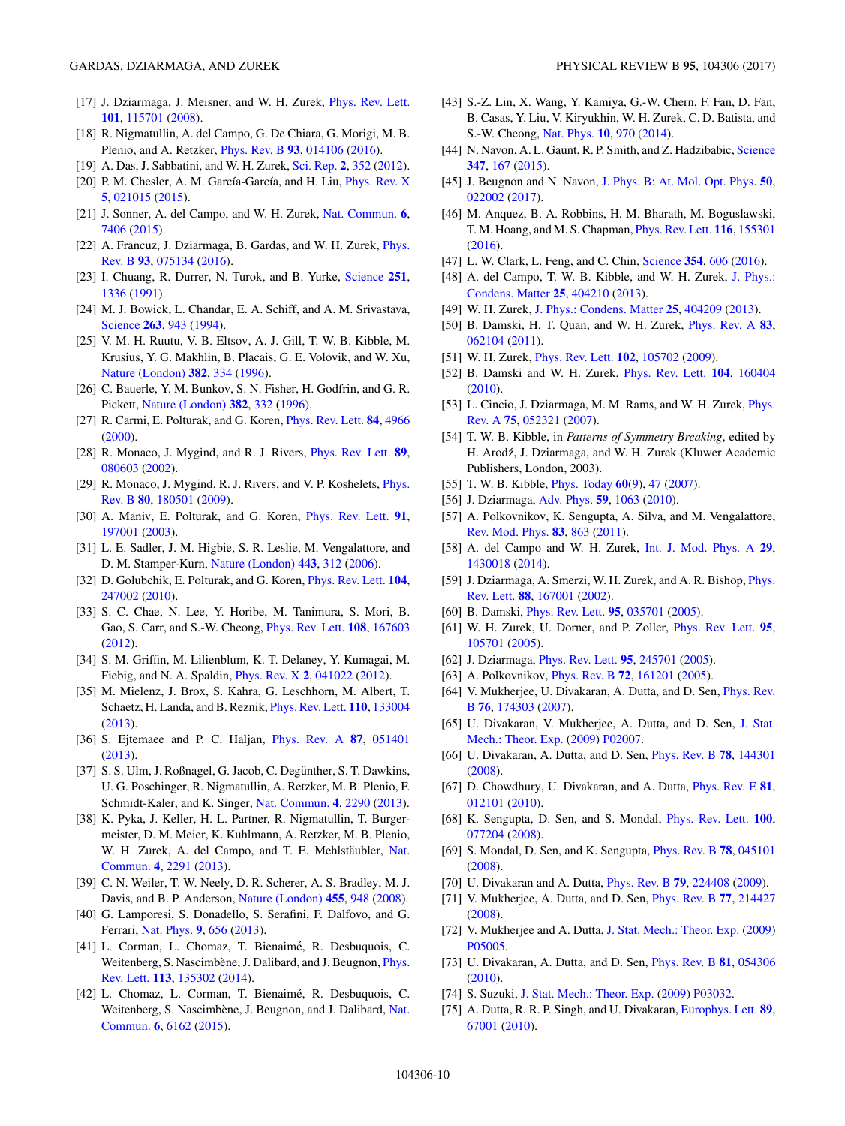- <span id="page-9-0"></span>[17] J. Dziarmaga, J. Meisner, and W. H. Zurek, [Phys. Rev. Lett.](https://doi.org/10.1103/PhysRevLett.101.115701) **[101](https://doi.org/10.1103/PhysRevLett.101.115701)**, [115701](https://doi.org/10.1103/PhysRevLett.101.115701) [\(2008\)](https://doi.org/10.1103/PhysRevLett.101.115701).
- [18] R. Nigmatullin, A. del Campo, G. De Chiara, G. Morigi, M. B. Plenio, and A. Retzker, [Phys. Rev. B](https://doi.org/10.1103/PhysRevB.93.014106) **[93](https://doi.org/10.1103/PhysRevB.93.014106)**, [014106](https://doi.org/10.1103/PhysRevB.93.014106) [\(2016\)](https://doi.org/10.1103/PhysRevB.93.014106).
- [19] A. Das, J. Sabbatini, and W. H. Zurek, [Sci. Rep.](https://doi.org/10.1038/srep00352) **[2](https://doi.org/10.1038/srep00352)**, [352](https://doi.org/10.1038/srep00352) [\(2012\)](https://doi.org/10.1038/srep00352).
- [20] P. M. Chesler, A. M. García-García, and H. Liu, *[Phys. Rev. X](https://doi.org/10.1103/PhysRevX.5.021015)* **[5](https://doi.org/10.1103/PhysRevX.5.021015)**, [021015](https://doi.org/10.1103/PhysRevX.5.021015) [\(2015\)](https://doi.org/10.1103/PhysRevX.5.021015).
- [21] J. Sonner, A. del Campo, and W. H. Zurek, [Nat. Commun.](https://doi.org/10.1038/ncomms8406) **[6](https://doi.org/10.1038/ncomms8406)**, [7406](https://doi.org/10.1038/ncomms8406) [\(2015\)](https://doi.org/10.1038/ncomms8406).
- [22] [A. Francuz, J. Dziarmaga, B. Gardas, and W. H. Zurek,](https://doi.org/10.1103/PhysRevB.93.075134) Phys. Rev. B **[93](https://doi.org/10.1103/PhysRevB.93.075134)**, [075134](https://doi.org/10.1103/PhysRevB.93.075134) [\(2016\)](https://doi.org/10.1103/PhysRevB.93.075134).
- [23] I. Chuang, R. Durrer, N. Turok, and B. Yurke, [Science](https://doi.org/10.1126/science.251.4999.1336) **[251](https://doi.org/10.1126/science.251.4999.1336)**, [1336](https://doi.org/10.1126/science.251.4999.1336) [\(1991\)](https://doi.org/10.1126/science.251.4999.1336).
- [24] M. J. Bowick, L. Chandar, E. A. Schiff, and A. M. Srivastava, [Science](https://doi.org/10.1126/science.263.5149.943) **[263](https://doi.org/10.1126/science.263.5149.943)**, [943](https://doi.org/10.1126/science.263.5149.943) [\(1994\)](https://doi.org/10.1126/science.263.5149.943).
- [25] V. M. H. Ruutu, V. B. Eltsov, A. J. Gill, T. W. B. Kibble, M. Krusius, Y. G. Makhlin, B. Placais, G. E. Volovik, and W. Xu, [Nature \(London\)](https://doi.org/10.1038/382334a0) **[382](https://doi.org/10.1038/382334a0)**, [334](https://doi.org/10.1038/382334a0) [\(1996\)](https://doi.org/10.1038/382334a0).
- [26] C. Bauerle, Y. M. Bunkov, S. N. Fisher, H. Godfrin, and G. R. Pickett, [Nature \(London\)](https://doi.org/10.1038/382332a0) **[382](https://doi.org/10.1038/382332a0)**, [332](https://doi.org/10.1038/382332a0) [\(1996\)](https://doi.org/10.1038/382332a0).
- [27] R. Carmi, E. Polturak, and G. Koren, [Phys. Rev. Lett.](https://doi.org/10.1103/PhysRevLett.84.4966) **[84](https://doi.org/10.1103/PhysRevLett.84.4966)**, [4966](https://doi.org/10.1103/PhysRevLett.84.4966) [\(2000\)](https://doi.org/10.1103/PhysRevLett.84.4966).
- [28] R. Monaco, J. Mygind, and R. J. Rivers, [Phys. Rev. Lett.](https://doi.org/10.1103/PhysRevLett.89.080603) **[89](https://doi.org/10.1103/PhysRevLett.89.080603)**, [080603](https://doi.org/10.1103/PhysRevLett.89.080603) [\(2002\)](https://doi.org/10.1103/PhysRevLett.89.080603).
- [29] [R. Monaco, J. Mygind, R. J. Rivers, and V. P. Koshelets,](https://doi.org/10.1103/PhysRevB.80.180501) *Phys.* Rev. B **[80](https://doi.org/10.1103/PhysRevB.80.180501)**, [180501](https://doi.org/10.1103/PhysRevB.80.180501) [\(2009\)](https://doi.org/10.1103/PhysRevB.80.180501).
- [30] A. Maniv, E. Polturak, and G. Koren, [Phys. Rev. Lett.](https://doi.org/10.1103/PhysRevLett.91.197001) **[91](https://doi.org/10.1103/PhysRevLett.91.197001)**, [197001](https://doi.org/10.1103/PhysRevLett.91.197001) [\(2003\)](https://doi.org/10.1103/PhysRevLett.91.197001).
- [31] L. E. Sadler, J. M. Higbie, S. R. Leslie, M. Vengalattore, and D. M. Stamper-Kurn, [Nature \(London\)](https://doi.org/10.1038/nature05094) **[443](https://doi.org/10.1038/nature05094)**, [312](https://doi.org/10.1038/nature05094) [\(2006\)](https://doi.org/10.1038/nature05094).
- [32] D. Golubchik, E. Polturak, and G. Koren, [Phys. Rev. Lett.](https://doi.org/10.1103/PhysRevLett.104.247002) **[104](https://doi.org/10.1103/PhysRevLett.104.247002)**, [247002](https://doi.org/10.1103/PhysRevLett.104.247002) [\(2010\)](https://doi.org/10.1103/PhysRevLett.104.247002).
- [33] S. C. Chae, N. Lee, Y. Horibe, M. Tanimura, S. Mori, B. Gao, S. Carr, and S.-W. Cheong, [Phys. Rev. Lett.](https://doi.org/10.1103/PhysRevLett.108.167603) **[108](https://doi.org/10.1103/PhysRevLett.108.167603)**, [167603](https://doi.org/10.1103/PhysRevLett.108.167603) [\(2012\)](https://doi.org/10.1103/PhysRevLett.108.167603).
- [34] S. M. Griffin, M. Lilienblum, K. T. Delaney, Y. Kumagai, M. Fiebig, and N. A. Spaldin, [Phys. Rev. X](https://doi.org/10.1103/PhysRevX.2.041022) **[2](https://doi.org/10.1103/PhysRevX.2.041022)**, [041022](https://doi.org/10.1103/PhysRevX.2.041022) [\(2012\)](https://doi.org/10.1103/PhysRevX.2.041022).
- [35] M. Mielenz, J. Brox, S. Kahra, G. Leschhorn, M. Albert, T. Schaetz, H. Landa, and B. Reznik, [Phys. Rev. Lett.](https://doi.org/10.1103/PhysRevLett.110.133004) **[110](https://doi.org/10.1103/PhysRevLett.110.133004)**, [133004](https://doi.org/10.1103/PhysRevLett.110.133004) [\(2013\)](https://doi.org/10.1103/PhysRevLett.110.133004).
- [36] S. Ejtemaee and P. C. Haljan, [Phys. Rev. A](https://doi.org/10.1103/PhysRevA.87.051401) **[87](https://doi.org/10.1103/PhysRevA.87.051401)**, [051401](https://doi.org/10.1103/PhysRevA.87.051401) [\(2013\)](https://doi.org/10.1103/PhysRevA.87.051401).
- [37] S. S. Ulm, J. Roßnagel, G. Jacob, C. Degünther, S. T. Dawkins, U. G. Poschinger, R. Nigmatullin, A. Retzker, M. B. Plenio, F. Schmidt-Kaler, and K. Singer, [Nat. Commun.](https://doi.org/10.1038/ncomms3290) **[4](https://doi.org/10.1038/ncomms3290)**, [2290](https://doi.org/10.1038/ncomms3290) [\(2013\)](https://doi.org/10.1038/ncomms3290).
- [38] K. Pyka, J. Keller, H. L. Partner, R. Nigmatullin, T. Burgermeister, D. M. Meier, K. Kuhlmann, A. Retzker, M. B. Plenio, W. H. Zurek, A. del Campo, and T. E. Mehlstäubler, Nat. Commun. **[4](https://doi.org/10.1038/ncomms3291)**, [2291](https://doi.org/10.1038/ncomms3291) [\(2013\)](https://doi.org/10.1038/ncomms3291).
- [39] C. N. Weiler, T. W. Neely, D. R. Scherer, A. S. Bradley, M. J. Davis, and B. P. Anderson, [Nature \(London\)](https://doi.org/10.1038/nature07334) **[455](https://doi.org/10.1038/nature07334)**, [948](https://doi.org/10.1038/nature07334) [\(2008\)](https://doi.org/10.1038/nature07334).
- [40] G. Lamporesi, S. Donadello, S. Serafini, F. Dalfovo, and G. Ferrari, [Nat. Phys.](https://doi.org/10.1038/nphys2734) **[9](https://doi.org/10.1038/nphys2734)**, [656](https://doi.org/10.1038/nphys2734) [\(2013\)](https://doi.org/10.1038/nphys2734).
- [41] L. Corman, L. Chomaz, T. Bienaimé, R. Desbuquois, C. Weitenberg, S. Nascimbène, J. Dalibard, and J. Beugnon, *Phys.* Rev. Lett. **[113](https://doi.org/10.1103/PhysRevLett.113.135302)**, [135302](https://doi.org/10.1103/PhysRevLett.113.135302) [\(2014\)](https://doi.org/10.1103/PhysRevLett.113.135302).
- [42] L. Chomaz, L. Corman, T. Bienaimé, R. Desbuquois, C. Weitenberg, S. Nascimbène, J. Beugnon, and J. Dalibard, Nat. Commun. **[6](https://doi.org/10.1038/ncomms7162)**, [6162](https://doi.org/10.1038/ncomms7162) [\(2015\)](https://doi.org/10.1038/ncomms7162).
- [43] S.-Z. Lin, X. Wang, Y. Kamiya, G.-W. Chern, F. Fan, D. Fan, B. Casas, Y. Liu, V. Kiryukhin, W. H. Zurek, C. D. Batista, and S.-W. Cheong, [Nat. Phys.](https://doi.org/10.1038/nphys3142) **[10](https://doi.org/10.1038/nphys3142)**, [970](https://doi.org/10.1038/nphys3142) [\(2014\)](https://doi.org/10.1038/nphys3142).
- [44] N. Navon, A. L. Gaunt, R. P. Smith, and Z. Hadzibabic, [Science](https://doi.org/10.1126/science.1258676) **[347](https://doi.org/10.1126/science.1258676)**, [167](https://doi.org/10.1126/science.1258676) [\(2015\)](https://doi.org/10.1126/science.1258676).
- [45] J. Beugnon and N. Navon, [J. Phys. B: At. Mol. Opt. Phys.](https://doi.org/10.1088/1361-6455/50/2/022002) **[50](https://doi.org/10.1088/1361-6455/50/2/022002)**, [022002](https://doi.org/10.1088/1361-6455/50/2/022002) [\(2017\)](https://doi.org/10.1088/1361-6455/50/2/022002).
- [46] M. Anquez, B. A. Robbins, H. M. Bharath, M. Boguslawski, T. M. Hoang, and M. S. Chapman, [Phys. Rev. Lett.](https://doi.org/10.1103/PhysRevLett.116.155301) **[116](https://doi.org/10.1103/PhysRevLett.116.155301)**, [155301](https://doi.org/10.1103/PhysRevLett.116.155301) [\(2016\)](https://doi.org/10.1103/PhysRevLett.116.155301).
- [47] L. W. Clark, L. Feng, and C. Chin, [Science](https://doi.org/10.1126/science.aaf9657) **[354](https://doi.org/10.1126/science.aaf9657)**, [606](https://doi.org/10.1126/science.aaf9657) [\(2016\)](https://doi.org/10.1126/science.aaf9657).
- [48] [A. del Campo, T. W. B. Kibble, and W. H. Zurek,](https://doi.org/10.1088/0953-8984/25/40/404210) J. Phys.: Condens. Matter **[25](https://doi.org/10.1088/0953-8984/25/40/404210)**, [404210](https://doi.org/10.1088/0953-8984/25/40/404210) [\(2013\)](https://doi.org/10.1088/0953-8984/25/40/404210).
- [49] W. H. Zurek, [J. Phys.: Condens. Matter](https://doi.org/10.1088/0953-8984/25/40/404209) **[25](https://doi.org/10.1088/0953-8984/25/40/404209)**, [404209](https://doi.org/10.1088/0953-8984/25/40/404209) [\(2013\)](https://doi.org/10.1088/0953-8984/25/40/404209).
- [50] B. Damski, H. T. Quan, and W. H. Zurek, [Phys. Rev. A](https://doi.org/10.1103/PhysRevA.83.062104) **[83](https://doi.org/10.1103/PhysRevA.83.062104)**, [062104](https://doi.org/10.1103/PhysRevA.83.062104) [\(2011\)](https://doi.org/10.1103/PhysRevA.83.062104).
- [51] W. H. Zurek, [Phys. Rev. Lett.](https://doi.org/10.1103/PhysRevLett.102.105702) **[102](https://doi.org/10.1103/PhysRevLett.102.105702)**, [105702](https://doi.org/10.1103/PhysRevLett.102.105702) [\(2009\)](https://doi.org/10.1103/PhysRevLett.102.105702).
- [52] B. Damski and W. H. Zurek, [Phys. Rev. Lett.](https://doi.org/10.1103/PhysRevLett.104.160404) **[104](https://doi.org/10.1103/PhysRevLett.104.160404)**, [160404](https://doi.org/10.1103/PhysRevLett.104.160404) [\(2010\)](https://doi.org/10.1103/PhysRevLett.104.160404).
- [53] [L. Cincio, J. Dziarmaga, M. M. Rams, and W. H. Zurek,](https://doi.org/10.1103/PhysRevA.75.052321) *Phys.* Rev. A **[75](https://doi.org/10.1103/PhysRevA.75.052321)**, [052321](https://doi.org/10.1103/PhysRevA.75.052321) [\(2007\)](https://doi.org/10.1103/PhysRevA.75.052321).
- [54] T. W. B. Kibble, in *Patterns of Symmetry Breaking*, edited by H. Arodź, J. Dziarmaga, and W. H. Zurek (Kluwer Academic Publishers, London, 2003).
- [55] T. W. B. Kibble, [Phys. Today](https://doi.org/10.1063/1.2784684) **[60](https://doi.org/10.1063/1.2784684)**[\(9\)](https://doi.org/10.1063/1.2784684), [47](https://doi.org/10.1063/1.2784684) [\(2007\)](https://doi.org/10.1063/1.2784684).
- [56] J. Dziarmaga, [Adv. Phys.](https://doi.org/10.1080/00018732.2010.514702) **[59](https://doi.org/10.1080/00018732.2010.514702)**, [1063](https://doi.org/10.1080/00018732.2010.514702) [\(2010\)](https://doi.org/10.1080/00018732.2010.514702).
- [57] A. Polkovnikov, K. Sengupta, A. Silva, and M. Vengalattore, [Rev. Mod. Phys.](https://doi.org/10.1103/RevModPhys.83.863) **[83](https://doi.org/10.1103/RevModPhys.83.863)**, [863](https://doi.org/10.1103/RevModPhys.83.863) [\(2011\)](https://doi.org/10.1103/RevModPhys.83.863).
- [58] A. del Campo and W. H. Zurek, [Int. J. Mod. Phys. A](https://doi.org/10.1142/S0217751X1430018X) **[29](https://doi.org/10.1142/S0217751X1430018X)**, [1430018](https://doi.org/10.1142/S0217751X1430018X) [\(2014\)](https://doi.org/10.1142/S0217751X1430018X).
- [59] [J. Dziarmaga, A. Smerzi, W. H. Zurek, and A. R. Bishop,](https://doi.org/10.1103/PhysRevLett.88.167001) Phys. Rev. Lett. **[88](https://doi.org/10.1103/PhysRevLett.88.167001)**, [167001](https://doi.org/10.1103/PhysRevLett.88.167001) [\(2002\)](https://doi.org/10.1103/PhysRevLett.88.167001).
- [60] B. Damski, [Phys. Rev. Lett.](https://doi.org/10.1103/PhysRevLett.95.035701) **[95](https://doi.org/10.1103/PhysRevLett.95.035701)**, [035701](https://doi.org/10.1103/PhysRevLett.95.035701) [\(2005\)](https://doi.org/10.1103/PhysRevLett.95.035701).
- [61] W. H. Zurek, U. Dorner, and P. Zoller, [Phys. Rev. Lett.](https://doi.org/10.1103/PhysRevLett.95.105701) **[95](https://doi.org/10.1103/PhysRevLett.95.105701)**, [105701](https://doi.org/10.1103/PhysRevLett.95.105701) [\(2005\)](https://doi.org/10.1103/PhysRevLett.95.105701).
- [62] J. Dziarmaga, [Phys. Rev. Lett.](https://doi.org/10.1103/PhysRevLett.95.245701) **[95](https://doi.org/10.1103/PhysRevLett.95.245701)**, [245701](https://doi.org/10.1103/PhysRevLett.95.245701) [\(2005\)](https://doi.org/10.1103/PhysRevLett.95.245701).
- [63] A. Polkovnikov, [Phys. Rev. B](https://doi.org/10.1103/PhysRevB.72.161201) **[72](https://doi.org/10.1103/PhysRevB.72.161201)**, [161201](https://doi.org/10.1103/PhysRevB.72.161201) [\(2005\)](https://doi.org/10.1103/PhysRevB.72.161201).
- [64] [V. Mukherjee, U. Divakaran, A. Dutta, and D. Sen,](https://doi.org/10.1103/PhysRevB.76.174303) Phys. Rev. B **[76](https://doi.org/10.1103/PhysRevB.76.174303)**, [174303](https://doi.org/10.1103/PhysRevB.76.174303) [\(2007\)](https://doi.org/10.1103/PhysRevB.76.174303).
- [65] [U. Divakaran, V. Mukherjee, A. Dutta, and D. Sen,](https://doi.org/10.1088/1742-5468/2009/02/P02007) J. Stat. Mech.: Theor. Exp. [\(2009\)](https://doi.org/10.1088/1742-5468/2009/02/P02007) [P02007.](https://doi.org/10.1088/1742-5468/2009/02/P02007)
- [66] U. Divakaran, A. Dutta, and D. Sen, [Phys. Rev. B](https://doi.org/10.1103/PhysRevB.78.144301) **[78](https://doi.org/10.1103/PhysRevB.78.144301)**, [144301](https://doi.org/10.1103/PhysRevB.78.144301) [\(2008\)](https://doi.org/10.1103/PhysRevB.78.144301).
- [67] D. Chowdhury, U. Divakaran, and A. Dutta, [Phys. Rev. E](https://doi.org/10.1103/PhysRevE.81.012101) **[81](https://doi.org/10.1103/PhysRevE.81.012101)**, [012101](https://doi.org/10.1103/PhysRevE.81.012101) [\(2010\)](https://doi.org/10.1103/PhysRevE.81.012101).
- [68] K. Sengupta, D. Sen, and S. Mondal, [Phys. Rev. Lett.](https://doi.org/10.1103/PhysRevLett.100.077204) **[100](https://doi.org/10.1103/PhysRevLett.100.077204)**, [077204](https://doi.org/10.1103/PhysRevLett.100.077204) [\(2008\)](https://doi.org/10.1103/PhysRevLett.100.077204).
- [69] S. Mondal, D. Sen, and K. Sengupta, [Phys. Rev. B](https://doi.org/10.1103/PhysRevB.78.045101) **[78](https://doi.org/10.1103/PhysRevB.78.045101)**, [045101](https://doi.org/10.1103/PhysRevB.78.045101) [\(2008\)](https://doi.org/10.1103/PhysRevB.78.045101).
- [70] U. Divakaran and A. Dutta, [Phys. Rev. B](https://doi.org/10.1103/PhysRevB.79.224408) **[79](https://doi.org/10.1103/PhysRevB.79.224408)**, [224408](https://doi.org/10.1103/PhysRevB.79.224408) [\(2009\)](https://doi.org/10.1103/PhysRevB.79.224408).
- [71] V. Mukherjee, A. Dutta, and D. Sen, [Phys. Rev. B](https://doi.org/10.1103/PhysRevB.77.214427) **[77](https://doi.org/10.1103/PhysRevB.77.214427)**, [214427](https://doi.org/10.1103/PhysRevB.77.214427) [\(2008\)](https://doi.org/10.1103/PhysRevB.77.214427).
- [72] V. Mukherjee and A. Dutta, [J. Stat. Mech.: Theor. Exp.](https://doi.org/10.1088/1742-5468/2009/05/P05005) [\(2009\)](https://doi.org/10.1088/1742-5468/2009/05/P05005) [P05005.](https://doi.org/10.1088/1742-5468/2009/05/P05005)
- [73] U. Divakaran, A. Dutta, and D. Sen, [Phys. Rev. B](https://doi.org/10.1103/PhysRevB.81.054306) **[81](https://doi.org/10.1103/PhysRevB.81.054306)**, [054306](https://doi.org/10.1103/PhysRevB.81.054306) [\(2010\)](https://doi.org/10.1103/PhysRevB.81.054306).
- [74] S. Suzuki, [J. Stat. Mech.: Theor. Exp.](https://doi.org/10.1088/1742-5468/2009/03/P03032) [\(2009\)](https://doi.org/10.1088/1742-5468/2009/03/P03032) [P03032.](https://doi.org/10.1088/1742-5468/2009/03/P03032)
- [75] A. Dutta, R. R. P. Singh, and U. Divakaran, [Europhys. Lett.](https://doi.org/10.1209/0295-5075/89/67001) **[89](https://doi.org/10.1209/0295-5075/89/67001)**, [67001](https://doi.org/10.1209/0295-5075/89/67001) [\(2010\)](https://doi.org/10.1209/0295-5075/89/67001).